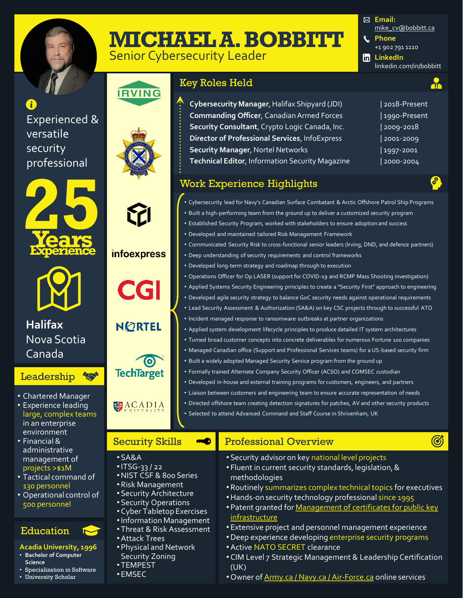

# **MICHAEL A. BOBBITT**

Senior Cybersecurity Leader



# **IRVING**

infoexpress

**CGI** 

**NORTEL** 

**TechTarget** 

ACADIA

 $\bullet$ 

Security Skills

•Attack Trees

•NIST CSF & 800 Series • Risk Management • Security Architecture • Security Operations • Cyber Tabletop Exercises •Information Management • Threat & Risk Assessment

**MO** 

• Physical and Network Security Zoning • TEMPEST • EMSEC

• SA&A  $\cdot$ ITSG-33/22

Experienced & versatile security professional



**Halifax** Nova Scotia Canada

#### 做 **Leadership**

- Chartered Manager
- Experience leading large, complex teams in an enterprise environment
- Financial & administrative management of projects >\$1M
- Tactical command of 130 personnel
- Operational control of 500 personnel

### Education

### **Acadia University, 1996**

- **Bachelor of Computer Science**
- Specialization in Software
- University Scholar



| Cybersecurity Manager, Halifax Shipyard (JDI)          | 12  |
|--------------------------------------------------------|-----|
| <b>Commanding Officer, Canadian Armed Forces</b>       | 1 ا |
| Security Consultant, Crypto Logic Canada, Inc.         | l 2 |
| Director of Professional Services, InfoExpress         | l 2 |
| <b>Security Manager, Nortel Networks</b>               | 1 ا |
| <b>Technical Editor, Information Security Magazine</b> | 12  |
|                                                        |     |

### Work Experience Highlights

- Cybersecurity lead for Navy's Canadian Surface Combatant & Arctic Offshore Patrol Ship Programs
- Built a high-performing team from the ground up to deliver a customized security program
- Established Security Program, worked with stakeholders to ensure adoption and success
- Developed and maintained tailored Risk Management Framework
- Communicated Security Risk to cross-functional senior leaders (Irving, DND, and defence partners)
- Deep understanding of security requirements and control frameworks
- Developed long-term strategy and roadmap through to execution
- Operations Officer for Op LASER (support for COVID-19 and RCMP Mass Shooting investigation)
- Applied Systems Security Engineering principles to create a "Security First" approach to engineering
- Developed agile security strategy to balance GoC security needs against operational requirements
- Lead Security Assessment & Authorization (SA&A) on key CSC projects through to successful ATO
- Incident managed response to ransomware outbreaks at partner organizations
- Applied system development lifecycle principles to produce detailed IT system architectures
- Turned broad customer concepts into concrete deliverables for numerous Fortune 100 companies
- Managed Canadian office (Support and Professional Services teams) for a US-based security firm
- Built a widely adopted Managed Security Service program from the ground up
- Formally trained Alternate Company Security Officer (ACSO) and COMSEC custodian
- Developed in-house and external training programs for customers, engineers, and partners
- Liaison between customers and engineering team to ensure accurate representation of needs
- Directed offshore team creating detection signatures for patches, AV and other security products
- Selected to attend Advanced Command and Staff Course in Shrivenham, UK

### Professional Overview

- Security advisor on key national level projects
- Fluent in current security standards, legislation, & methodologies
- Routinely summarizes complex technical topics for executives
- •Hands-on security technology professional since 1995
- Patent granted for Management of certificates for public key **infrastructure**
- Extensive project and personnel management experience
- •Deep experience developing enterprise security programs
- •Active NATO SECRET clearance
- CIM Level 7 Strategic Management & Leadership Certification (UK)
- Owner of **Army.ca / Navy.ca / Air-Force.ca** online services

**Cybersecurity Manager**, Halifax Shipyard (JDI) | 2018-Present **Logo-Present Security Consultant**, Crypto Logic Canada, Inc. | 2009-2018 **Director of Professional Services**, InfoExpress | 2001-2009 **997-2001** 

**Technical Editor**, Information Security Magazine | 2000-2004

 $\mathcal{S}$ 

 $\mathcal G$ 

**dia**